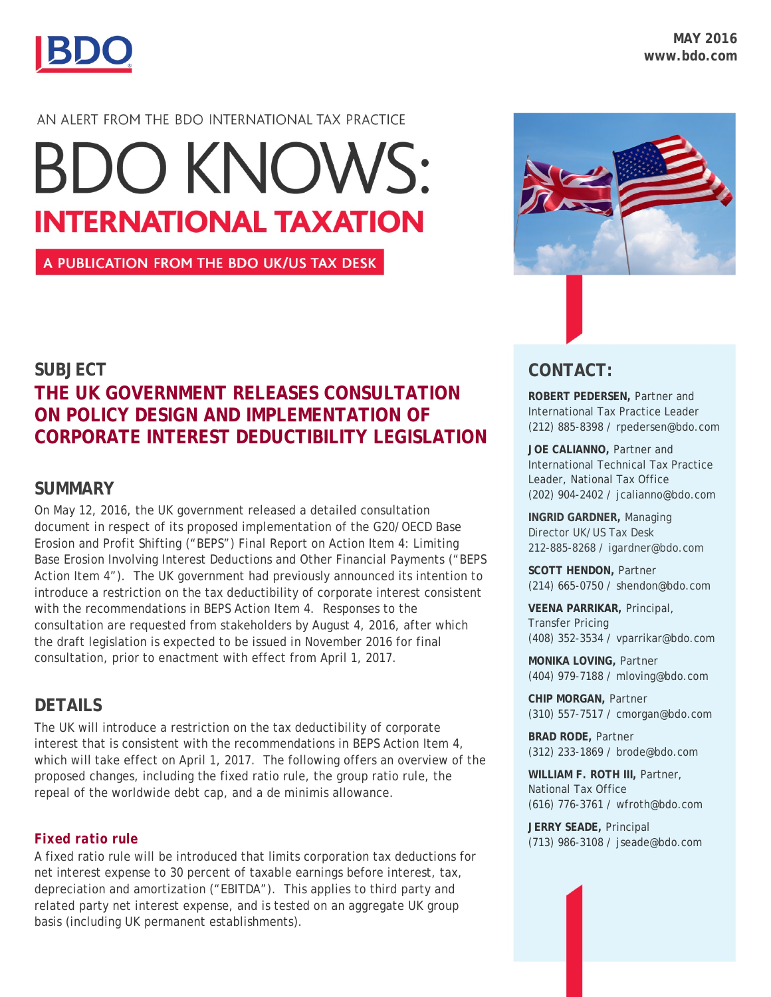

### AN ALERT FROM THE BDO INTERNATIONAL TAX PRACTICE

# **BDO KNOWS: INTERNATIONAL TAXATION**

A PUBLICATION FROM THE BDO UK/US TAX DESK

# **CONTACT:**

**ROBERT PEDERSEN,** Partner and International Tax Practice Leader (212) 885-8398 / rpedersen@bdo.com

**JOE CALIANNO,** Partner and International Technical Tax Practice Leader, National Tax Office (202) 904-2402 / jcalianno@bdo.com

**INGRID GARDNER,** Managing Director UK/US Tax Desk 212-885-8268 / igardner@bdo.com

**SCOTT HENDON,** Partner (214) 665-0750 / shendon@bdo.com

**VEENA PARRIKAR,** Principal, Transfer Pricing (408) 352-3534 / vparrikar@bdo.com

**MONIKA LOVING,** Partner (404) 979-7188 / mloving@bdo.com

**CHIP MORGAN,** Partner (310) 557-7517 / cmorgan@bdo.com

**BRAD RODE,** Partner (312) 233-1869 / brode@bdo.com

**WILLIAM F. ROTH III,** Partner, National Tax Office (616) 776-3761 / wfroth@bdo.com

**JERRY SEADE,** Principal (713) 986-3108 / jseade@bdo.com

# **SUBJECT THE UK GOVERNMENT RELEASES CONSULTATION ON POLICY DESIGN AND IMPLEMENTATION OF CORPORATE INTEREST DEDUCTIBILITY LEGISLATION**

# **SUMMARY**

On May 12, 2016, the UK government released a detailed consultation document in respect of its proposed implementation of the G20/OECD Base Erosion and Profit Shifting ("BEPS") Final Report on Action Item 4: Limiting Base Erosion Involving Interest Deductions and Other Financial Payments ("BEPS Action Item 4"). The UK government had previously announced its intention to introduce a restriction on the tax deductibility of corporate interest consistent with the recommendations in BEPS Action Item 4. Responses to the consultation are requested from stakeholders by August 4, 2016, after which the draft legislation is expected to be issued in November 2016 for final consultation, prior to enactment with effect from April 1, 2017.

# **DETAILS**

The UK will introduce a restriction on the tax deductibility of corporate interest that is consistent with the recommendations in BEPS Action Item 4, which will take effect on April 1, 2017. The following offers an overview of the proposed changes, including the fixed ratio rule, the group ratio rule, the repeal of the worldwide debt cap, and a *de minimis* allowance.

# *Fixed ratio rule*

A fixed ratio rule will be introduced that limits corporation tax deductions for net interest expense to 30 percent of taxable earnings before interest, tax, depreciation and amortization ("EBITDA"). This applies to third party and related party net interest expense, and is tested on an aggregate UK group basis (including UK permanent establishments).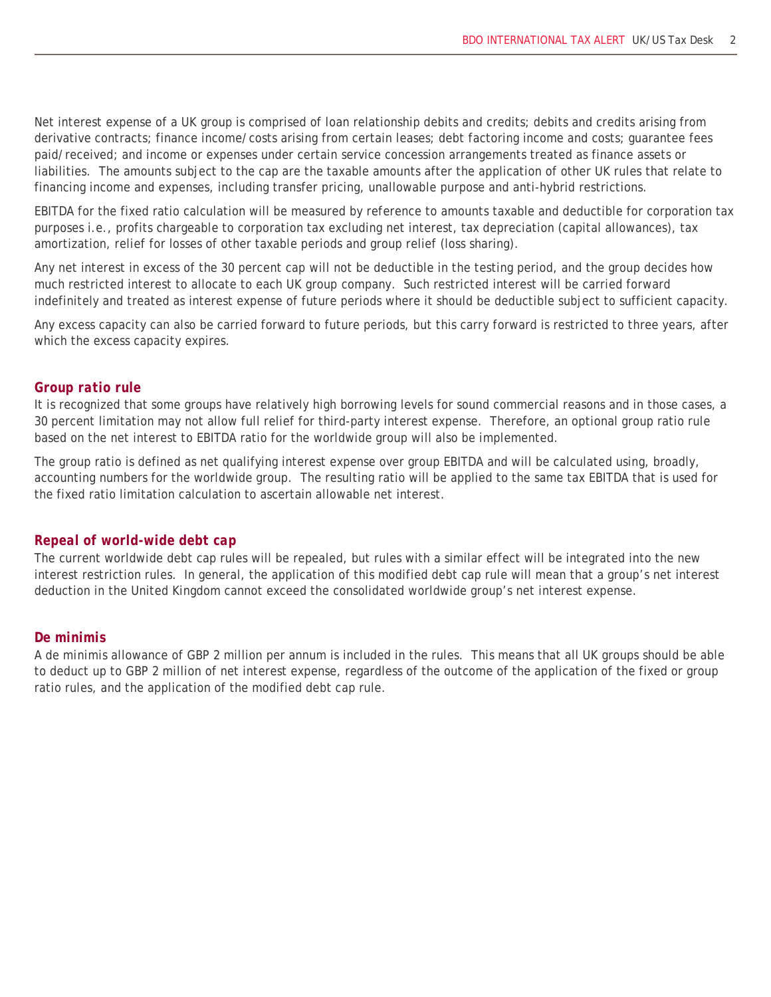Net interest expense of a UK group is comprised of loan relationship debits and credits; debits and credits arising from derivative contracts; finance income/costs arising from certain leases; debt factoring income and costs; guarantee fees paid/received; and income or expenses under certain service concession arrangements treated as finance assets or liabilities. The amounts subject to the cap are the taxable amounts after the application of other UK rules that relate to financing income and expenses, including transfer pricing, unallowable purpose and anti-hybrid restrictions.

EBITDA for the fixed ratio calculation will be measured by reference to amounts taxable and deductible for corporation tax purposes i.e., profits chargeable to corporation tax excluding net interest, tax depreciation (capital allowances), tax amortization, relief for losses of other taxable periods and group relief (loss sharing).

Any net interest in excess of the 30 percent cap will not be deductible in the testing period, and the group decides how much restricted interest to allocate to each UK group company. Such restricted interest will be carried forward indefinitely and treated as interest expense of future periods where it should be deductible subject to sufficient capacity.

Any excess capacity can also be carried forward to future periods, but this carry forward is restricted to three years, after which the excess capacity expires.

#### *Group ratio rule*

It is recognized that some groups have relatively high borrowing levels for sound commercial reasons and in those cases, a 30 percent limitation may not allow full relief for third-party interest expense. Therefore, an optional group ratio rule based on the net interest to EBITDA ratio for the worldwide group will also be implemented.

The group ratio is defined as net qualifying interest expense over group EBITDA and will be calculated using, broadly, accounting numbers for the worldwide group. The resulting ratio will be applied to the same tax EBITDA that is used for the fixed ratio limitation calculation to ascertain allowable net interest.

#### *Repeal of world-wide debt cap*

The current worldwide debt cap rules will be repealed, but rules with a similar effect will be integrated into the new interest restriction rules. In general, the application of this modified debt cap rule will mean that a group's net interest deduction in the United Kingdom cannot exceed the consolidated worldwide group's net interest expense.

#### *De minimis*

A *de minimis* allowance of GBP 2 million per annum is included in the rules. This means that all UK groups should be able to deduct up to GBP 2 million of net interest expense, regardless of the outcome of the application of the fixed or group ratio rules, and the application of the modified debt cap rule.